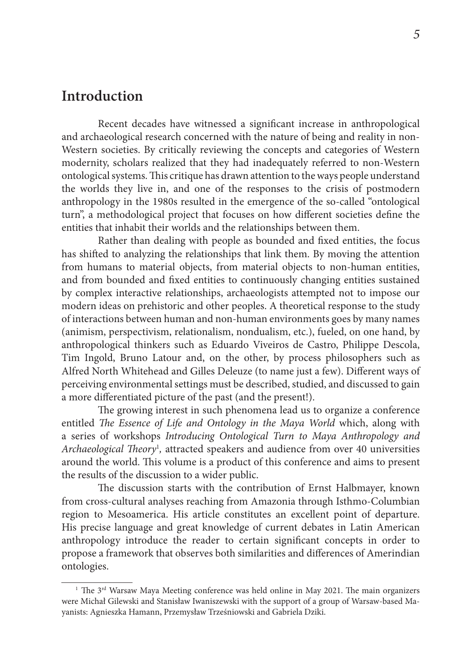## **Introduction**

Recent decades have witnessed a significant increase in anthropological and archaeological research concerned with the nature of being and reality in non-Western societies. By critically reviewing the concepts and categories of Western modernity, scholars realized that they had inadequately referred to non-Western ontological systems. This critique has drawn attention to the ways people understand the worlds they live in, and one of the responses to the crisis of postmodern anthropology in the 1980s resulted in the emergence of the so-called "ontological turn", a methodological project that focuses on how different societies define the entities that inhabit their worlds and the relationships between them.

Rather than dealing with people as bounded and fixed entities, the focus has shifted to analyzing the relationships that link them. By moving the attention from humans to material objects, from material objects to non-human entities, and from bounded and fixed entities to continuously changing entities sustained by complex interactive relationships, archaeologists attempted not to impose our modern ideas on prehistoric and other peoples. A theoretical response to the study of interactions between human and non-human environments goes by many names (animism, perspectivism, relationalism, nondualism, etc.), fueled, on one hand, by anthropological thinkers such as Eduardo Viveiros de Castro, Philippe Descola, Tim Ingold, Bruno Latour and, on the other, by process philosophers such as Alfred North Whitehead and Gilles Deleuze (to name just a few). Different ways of perceiving environmental settings must be described, studied, and discussed to gain a more differentiated picture of the past (and the present!).

The growing interest in such phenomena lead us to organize a conference entitled *The Essence of Life and Ontology in the Maya World* which, along with a series of workshops *Introducing Ontological Turn to Maya Anthropology and*  Archaeological Theory<sup>1</sup>, attracted speakers and audience from over 40 universities around the world. This volume is a product of this conference and aims to present the results of the discussion to a wider public.

The discussion starts with the contribution of Ernst Halbmayer, known from cross-cultural analyses reaching from Amazonia through Isthmo-Columbian region to Mesoamerica. His article constitutes an excellent point of departure. His precise language and great knowledge of current debates in Latin American anthropology introduce the reader to certain significant concepts in order to propose a framework that observes both similarities and differences of Amerindian ontologies.

<sup>&</sup>lt;sup>1</sup> The  $3<sup>rd</sup>$  Warsaw Maya Meeting conference was held online in May 2021. The main organizers were Michał Gilewski and Stanisław Iwaniszewski with the support of a group of Warsaw-based Mayanists: Agnieszka Hamann, Przemysław Trześniowski and Gabriela Dziki.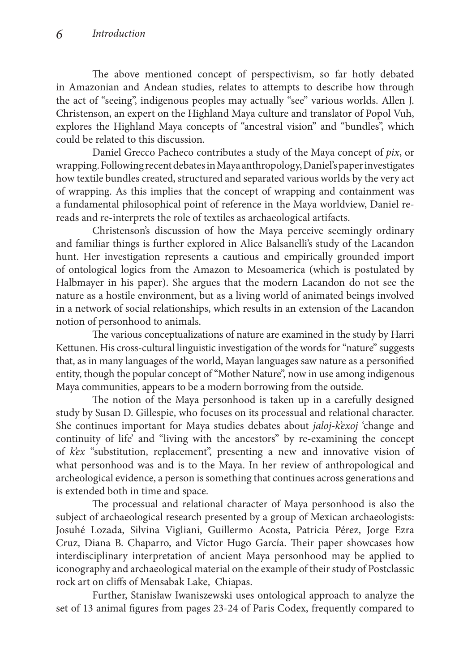The above mentioned concept of perspectivism, so far hotly debated in Amazonian and Andean studies, relates to attempts to describe how through the act of "seeing", indigenous peoples may actually "see" various worlds. Allen J. Christenson, an expert on the Highland Maya culture and translator of Popol Vuh, explores the Highland Maya concepts of "ancestral vision" and "bundles", which could be related to this discussion.

Daniel Grecco Pacheco contributes a study of the Maya concept of *pix*, or wrapping. Following recent debates in Maya anthropology, Daniel's paper investigates how textile bundles created, structured and separated various worlds by the very act of wrapping. As this implies that the concept of wrapping and containment was a fundamental philosophical point of reference in the Maya worldview, Daniel rereads and re-interprets the role of textiles as archaeological artifacts.

Christenson's discussion of how the Maya perceive seemingly ordinary and familiar things is further explored in Alice Balsanelli's study of the Lacandon hunt. Her investigation represents a cautious and empirically grounded import of ontological logics from the Amazon to Mesoamerica (which is postulated by Halbmayer in his paper). She argues that the modern Lacandon do not see the nature as a hostile environment, but as a living world of animated beings involved in a network of social relationships, which results in an extension of the Lacandon notion of personhood to animals.

The various conceptualizations of nature are examined in the study by Harri Kettunen. His cross-cultural linguistic investigation of the words for "nature" suggests that, as in many languages of the world, Mayan languages saw nature as a personified entity, though the popular concept of "Mother Nature", now in use among indigenous Maya communities, appears to be a modern borrowing from the outside.

The notion of the Maya personhood is taken up in a carefully designed study by Susan D. Gillespie, who focuses on its processual and relational character. She continues important for Maya studies debates about *jaloj-k'exoj* 'change and continuity of life' and "living with the ancestors" by re-examining the concept of *k'ex* "substitution, replacement", presenting a new and innovative vision of what personhood was and is to the Maya. In her review of anthropological and archeological evidence, a person is something that continues across generations and is extended both in time and space.

The processual and relational character of Maya personhood is also the subject of archaeological research presented by a group of Mexican archaeologists: Josuhé Lozada, Silvina Vigliani, Guillermo Acosta, Patricia Pérez, Jorge Ezra Cruz, Diana B. Chaparro, and Víctor Hugo García. Their paper showcases how interdisciplinary interpretation of ancient Maya personhood may be applied to iconography and archaeological material on the example of their study of Postclassic rock art on cliffs of Mensabak Lake, Chiapas.

Further, Stanisław Iwaniszewski uses ontological approach to analyze the set of 13 animal figures from pages 23-24 of Paris Codex, frequently compared to